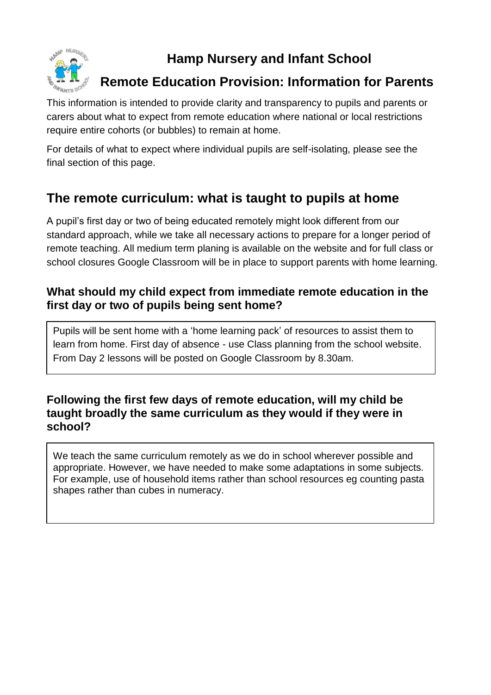

# **Hamp Nursery and Infant School**

## **Remote Education Provision: Information for Parents**

This information is intended to provide clarity and transparency to pupils and parents or carers about what to expect from remote education where national or local restrictions require entire cohorts (or bubbles) to remain at home.

For details of what to expect where individual pupils are self-isolating, please see the final section of this page.

# **The remote curriculum: what is taught to pupils at home**

A pupil's first day or two of being educated remotely might look different from our standard approach, while we take all necessary actions to prepare for a longer period of remote teaching. All medium term planing is available on the website and for full class or school closures Google Classroom will be in place to support parents with home learning.

## **What should my child expect from immediate remote education in the first day or two of pupils being sent home?**

Pupils will be sent home with a 'home learning pack' of resources to assist them to learn from home. First day of absence - use Class planning from the school website. From Day 2 lessons will be posted on Google Classroom by 8.30am.

## **Following the first few days of remote education, will my child be taught broadly the same curriculum as they would if they were in school?**

We teach the same curriculum remotely as we do in school wherever possible and appropriate. However, we have needed to make some adaptations in some subjects. For example, use of household items rather than school resources eg counting pasta shapes rather than cubes in numeracy.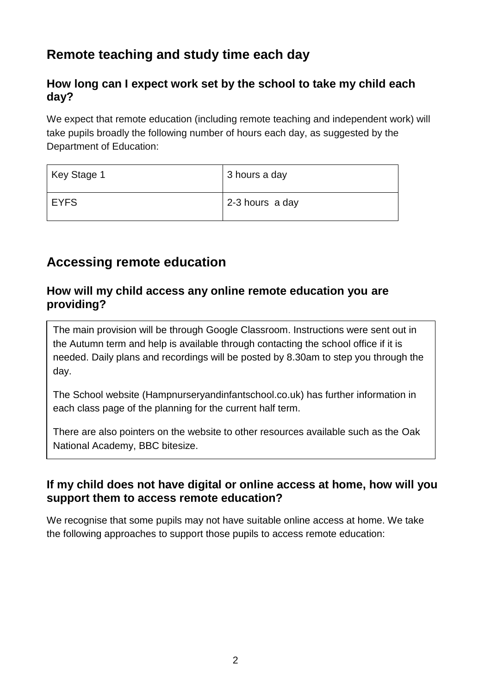# **Remote teaching and study time each day**

## **How long can I expect work set by the school to take my child each day?**

We expect that remote education (including remote teaching and independent work) will take pupils broadly the following number of hours each day, as suggested by the Department of Education:

| Key Stage 1 | 3 hours a day   |
|-------------|-----------------|
| <b>EYFS</b> | 2-3 hours a day |

## **Accessing remote education**

#### **How will my child access any online remote education you are providing?**

The main provision will be through Google Classroom. Instructions were sent out in the Autumn term and help is available through contacting the school office if it is needed. Daily plans and recordings will be posted by 8.30am to step you through the day.

The School website (Hampnurseryandinfantschool.co.uk) has further information in each class page of the planning for the current half term.

There are also pointers on the website to other resources available such as the Oak National Academy, BBC bitesize.

## **If my child does not have digital or online access at home, how will you support them to access remote education?**

We recognise that some pupils may not have suitable online access at home. We take the following approaches to support those pupils to access remote education: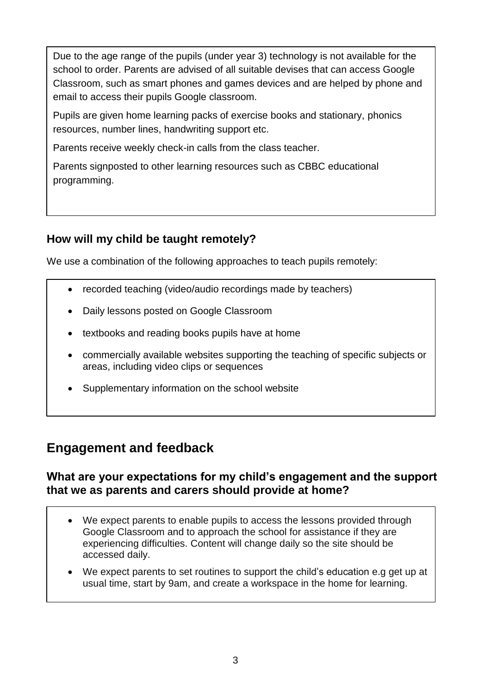Due to the age range of the pupils (under year 3) technology is not available for the school to order. Parents are advised of all suitable devises that can access Google Classroom, such as smart phones and games devices and are helped by phone and email to access their pupils Google classroom.

Pupils are given home learning packs of exercise books and stationary, phonics resources, number lines, handwriting support etc.

Parents receive weekly check-in calls from the class teacher.

Parents signposted to other learning resources such as CBBC educational programming.

## **How will my child be taught remotely?**

We use a combination of the following approaches to teach pupils remotely:

- recorded teaching (video/audio recordings made by teachers)
- Daily lessons posted on Google Classroom
- textbooks and reading books pupils have at home
- commercially available websites supporting the teaching of specific subjects or areas, including video clips or sequences
- Supplementary information on the school website

## **Engagement and feedback**

#### **What are your expectations for my child's engagement and the support that we as parents and carers should provide at home?**

- We expect parents to enable pupils to access the lessons provided through Google Classroom and to approach the school for assistance if they are experiencing difficulties. Content will change daily so the site should be accessed daily.
- We expect parents to set routines to support the child's education e.g get up at usual time, start by 9am, and create a workspace in the home for learning.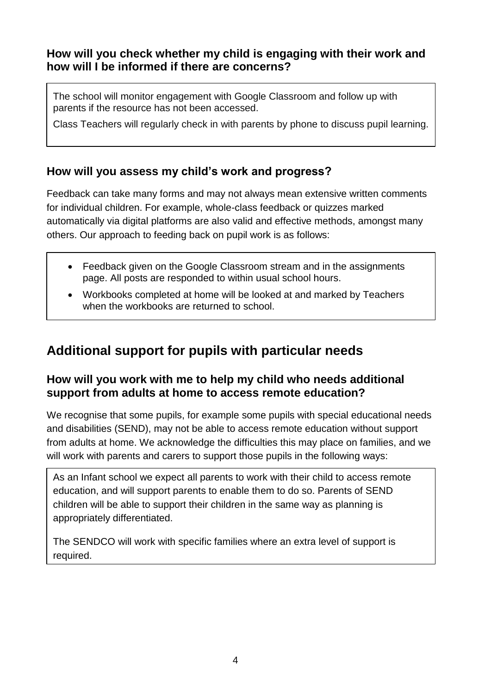## **How will you check whether my child is engaging with their work and how will I be informed if there are concerns?**

The school will monitor engagement with Google Classroom and follow up with parents if the resource has not been accessed.

Class Teachers will regularly check in with parents by phone to discuss pupil learning.

## **How will you assess my child's work and progress?**

Feedback can take many forms and may not always mean extensive written comments for individual children. For example, whole-class feedback or quizzes marked automatically via digital platforms are also valid and effective methods, amongst many others. Our approach to feeding back on pupil work is as follows:

- Feedback given on the Google Classroom stream and in the assignments page. All posts are responded to within usual school hours.
- Workbooks completed at home will be looked at and marked by Teachers when the workbooks are returned to school.

# **Additional support for pupils with particular needs**

### **How will you work with me to help my child who needs additional support from adults at home to access remote education?**

We recognise that some pupils, for example some pupils with special educational needs and disabilities (SEND), may not be able to access remote education without support from adults at home. We acknowledge the difficulties this may place on families, and we will work with parents and carers to support those pupils in the following ways:

As an Infant school we expect all parents to work with their child to access remote education, and will support parents to enable them to do so. Parents of SEND children will be able to support their children in the same way as planning is appropriately differentiated.

The SENDCO will work with specific families where an extra level of support is required.